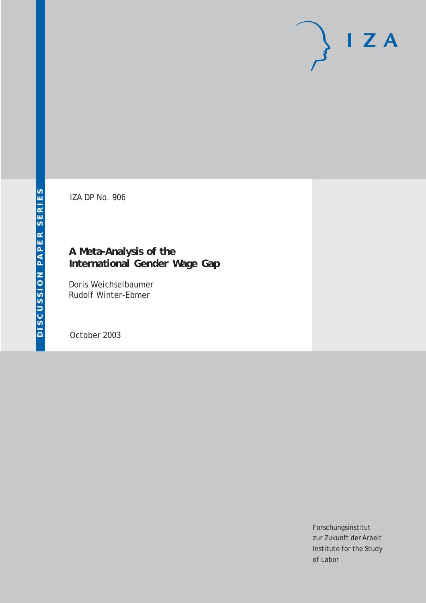# $I Z A$

IZA DP No. 906

## **A Meta-Analysis of the International Gender Wage Gap**

Doris Weichselbaumer Rudolf Winter-Ebmer

October 2003

Forschungsinstitut zur Zukunft der Arbeit Institute for the Study of Labor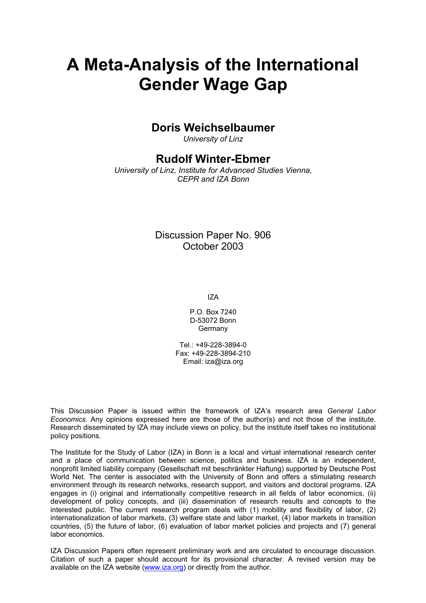# **A Meta-Analysis of the International Gender Wage Gap**

## **Doris Weichselbaumer**

*University of Linz* 

## **Rudolf Winter-Ebmer**

*University of Linz, Institute for Advanced Studies Vienna, CEPR and IZA Bonn*

> Discussion Paper No. 906 October 2003

> > IZA

P.O. Box 7240 D-53072 Bonn **Germany** 

Tel.: +49-228-3894-0 Fax: +49-228-3894-210 Email: [iza@iza.org](mailto:iza@iza.org)

This Discussion Paper is issued within the framework of IZA's research area *General Labor Economics.* Any opinions expressed here are those of the author(s) and not those of the institute. Research disseminated by IZA may include views on policy, but the institute itself takes no institutional policy positions.

The Institute for the Study of Labor (IZA) in Bonn is a local and virtual international research center and a place of communication between science, politics and business. IZA is an independent, nonprofit limited liability company (Gesellschaft mit beschränkter Haftung) supported by Deutsche Post World Net. The center is associated with the University of Bonn and offers a stimulating research environment through its research networks, research support, and visitors and doctoral programs. IZA engages in (i) original and internationally competitive research in all fields of labor economics, (ii) development of policy concepts, and (iii) dissemination of research results and concepts to the interested public. The current research program deals with (1) mobility and flexibility of labor, (2) internationalization of labor markets, (3) welfare state and labor market, (4) labor markets in transition countries, (5) the future of labor, (6) evaluation of labor market policies and projects and (7) general labor economics.

IZA Discussion Papers often represent preliminary work and are circulated to encourage discussion. Citation of such a paper should account for its provisional character. A revised version may be available on the IZA website ([www.iza.org](http://www.iza.org/)) or directly from the author.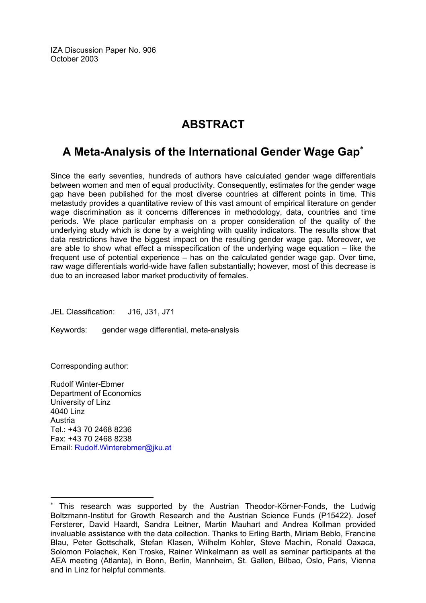IZA Discussion Paper No. 906 October 2003

## **ABSTRACT**

## **A Meta-Analysis of the International Gender Wage Gap**[∗](#page-2-0)

Since the early seventies, hundreds of authors have calculated gender wage differentials between women and men of equal productivity. Consequently, estimates for the gender wage gap have been published for the most diverse countries at different points in time. This metastudy provides a quantitative review of this vast amount of empirical literature on gender wage discrimination as it concerns differences in methodology, data, countries and time periods. We place particular emphasis on a proper consideration of the quality of the underlying study which is done by a weighting with quality indicators. The results show that data restrictions have the biggest impact on the resulting gender wage gap. Moreover, we are able to show what effect a misspecification of the underlying wage equation – like the frequent use of potential experience – has on the calculated gender wage gap. Over time, raw wage differentials world-wide have fallen substantially; however, most of this decrease is due to an increased labor market productivity of females.

JEL Classification: J16, J31, J71

Keywords: gender wage differential, meta-analysis

Corresponding author:

 $\overline{a}$ 

Rudolf Winter-Ebmer Department of Economics University of Linz 4040 Linz Austria Tel.: +43 70 2468 8236 Fax: +43 70 2468 8238 Email: [Rudolf.Winterebmer@jku.at](mailto:Rudolf.Winterebmer@jku.at)

<span id="page-2-0"></span><sup>∗</sup> This research was supported by the Austrian Theodor-Körner-Fonds, the Ludwig Boltzmann-Institut for Growth Research and the Austrian Science Funds (P15422). Josef Fersterer, David Haardt, Sandra Leitner, Martin Mauhart and Andrea Kollman provided invaluable assistance with the data collection. Thanks to Erling Barth, Miriam Beblo, Francine Blau, Peter Gottschalk, Stefan Klasen, Wilhelm Kohler, Steve Machin, Ronald Oaxaca, Solomon Polachek, Ken Troske, Rainer Winkelmann as well as seminar participants at the AEA meeting (Atlanta), in Bonn, Berlin, Mannheim, St. Gallen, Bilbao, Oslo, Paris, Vienna and in Linz for helpful comments.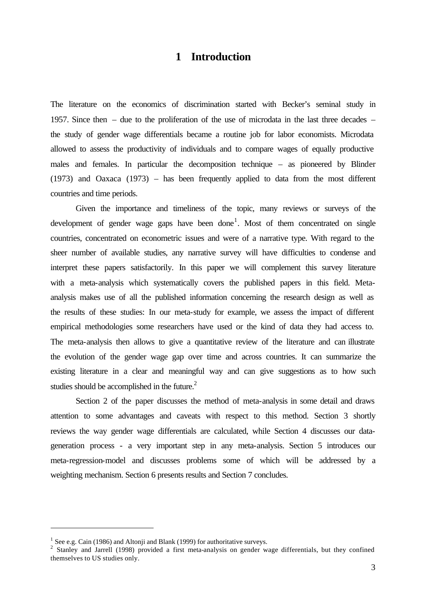## **1 Introduction**

The literature on the economics of discrimination started with Becker's seminal study in 1957. Since then – due to the proliferation of the use of microdata in the last three decades – the study of gender wage differentials became a routine job for labor economists. Microdata allowed to assess the productivity of individuals and to compare wages of equally productive males and females. In particular the decomposition technique – as pioneered by Blinder (1973) and Oaxaca (1973) – has been frequently applied to data from the most different countries and time periods.

Given the importance and timeliness of the topic, many reviews or surveys of the development of gender wage gaps have been done<sup>1</sup>. Most of them concentrated on single countries, concentrated on econometric issues and were of a narrative type. With regard to the sheer number of available studies, any narrative survey will have difficulties to condense and interpret these papers satisfactorily. In this paper we will complement this survey literature with a meta-analysis which systematically covers the published papers in this field. Metaanalysis makes use of all the published information concerning the research design as well as the results of these studies: In our meta-study for example, we assess the impact of different empirical methodologies some researchers have used or the kind of data they had access to. The meta-analysis then allows to give a quantitative review of the literature and can illustrate the evolution of the gender wage gap over time and across countries. It can summarize the existing literature in a clear and meaningful way and can give suggestions as to how such studies should be accomplished in the future.<sup>2</sup>

Section 2 of the paper discusses the method of meta-analysis in some detail and draws attention to some advantages and caveats with respect to this method. Section 3 shortly reviews the way gender wage differentials are calculated, while Section 4 discusses our datageneration process - a very important step in any meta-analysis. Section 5 introduces our meta-regression-model and discusses problems some of which will be addressed by a weighting mechanism. Section 6 presents results and Section 7 concludes.

<sup>&</sup>lt;sup>1</sup> See e.g. Cain (1986) and Altonji and Blank (1999) for authoritative surveys.

<sup>&</sup>lt;sup>2</sup> Stanley and Jarrell (1998) provided a first meta-analysis on gender wage differentials, but they confined themselves to US studies only.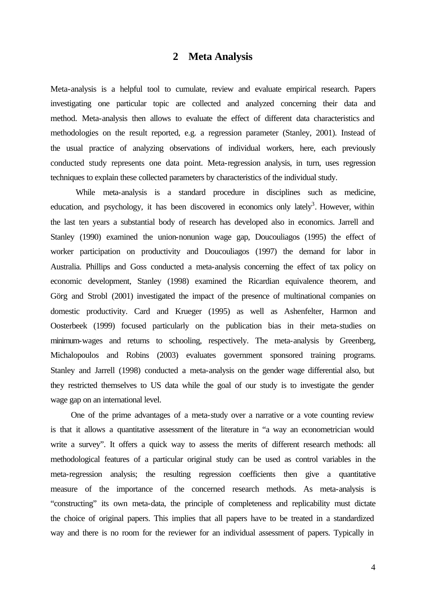## **2 Meta Analysis**

Meta-analysis is a helpful tool to cumulate, review and evaluate empirical research. Papers investigating one particular topic are collected and analyzed concerning their data and method. Meta-analysis then allows to evaluate the effect of different data characteristics and methodologies on the result reported, e.g. a regression parameter (Stanley, 2001). Instead of the usual practice of analyzing observations of individual workers, here, each previously conducted study represents one data point. Meta-regression analysis, in turn, uses regression techniques to explain these collected parameters by characteristics of the individual study.

While meta-analysis is a standard procedure in disciplines such as medicine, education, and psychology, it has been discovered in economics only lately<sup>3</sup>. However, within the last ten years a substantial body of research has developed also in economics. Jarrell and Stanley (1990) examined the union-nonunion wage gap, Doucouliagos (1995) the effect of worker participation on productivity and Doucouliagos (1997) the demand for labor in Australia. Phillips and Goss conducted a meta-analysis concerning the effect of tax policy on economic development, Stanley (1998) examined the Ricardian equivalence theorem, and Görg and Strobl (2001) investigated the impact of the presence of multinational companies on domestic productivity. Card and Krueger (1995) as well as Ashenfelter, Harmon and Oosterbeek (1999) focused particularly on the publication bias in their meta-studies on minimum-wages and returns to schooling, respectively. The meta-analysis by Greenberg, Michalopoulos and Robins (2003) evaluates government sponsored training programs. Stanley and Jarrell (1998) conducted a meta-analysis on the gender wage differential also, but they restricted themselves to US data while the goal of our study is to investigate the gender wage gap on an international level.

One of the prime advantages of a meta-study over a narrative or a vote counting review is that it allows a quantitative assessment of the literature in "a way an econometrician would write a survey". It offers a quick way to assess the merits of different research methods: all methodological features of a particular original study can be used as control variables in the meta-regression analysis; the resulting regression coefficients then give a quantitative measure of the importance of the concerned research methods. As meta-analysis is "constructing" its own meta-data, the principle of completeness and replicability must dictate the choice of original papers. This implies that all papers have to be treated in a standardized way and there is no room for the reviewer for an individual assessment of papers. Typically in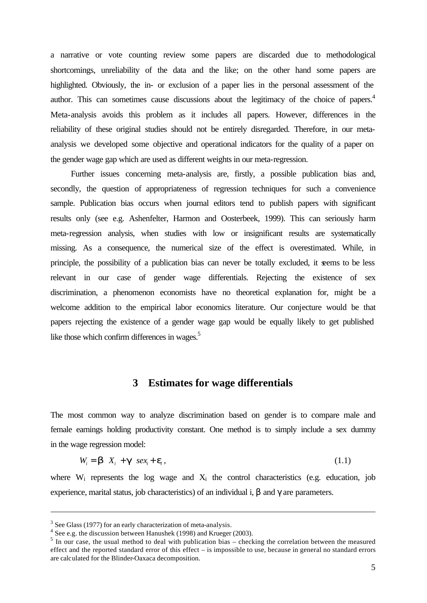a narrative or vote counting review some papers are discarded due to methodological shortcomings, unreliability of the data and the like; on the other hand some papers are highlighted. Obviously, the in- or exclusion of a paper lies in the personal assessment of the author. This can sometimes cause discussions about the legitimacy of the choice of papers.<sup>4</sup> Meta-analysis avoids this problem as it includes all papers. However, differences in the reliability of these original studies should not be entirely disregarded. Therefore, in our metaanalysis we developed some objective and operational indicators for the quality of a paper on the gender wage gap which are used as different weights in our meta-regression.

Further issues concerning meta-analysis are, firstly, a possible publication bias and, secondly, the question of appropriateness of regression techniques for such a convenience sample. Publication bias occurs when journal editors tend to publish papers with significant results only (see e.g. Ashenfelter, Harmon and Oosterbeek, 1999). This can seriously harm meta-regression analysis, when studies with low or insignificant results are systematically missing. As a consequence, the numerical size of the effect is overestimated. While, in principle, the possibility of a publication bias can never be totally excluded, it seems to be less relevant in our case of gender wage differentials. Rejecting the existence of sex discrimination, a phenomenon economists have no theoretical explanation for, might be a welcome addition to the empirical labor economics literature. Our conjecture would be that papers rejecting the existence of a gender wage gap would be equally likely to get published like those which confirm differences in wages. $5$ 

## **3 Estimates for wage differentials**

The most common way to analyze discrimination based on gender is to compare male and female earnings holding productivity constant. One method is to simply include a sex dummy in the wage regression model:

$$
W_i = \mathbf{b} \quad X_i + \mathbf{g} \quad \text{sex}_i + \mathbf{e}_i \,, \tag{1.1}
$$

where  $W_i$  represents the log wage and  $X_i$  the control characteristics (e.g. education, job experience, marital status, job characteristics) of an individual i,  $\beta$  and  $\gamma$  are parameters.

 $3$  See Glass (1977) for an early characterization of meta-analysis.

 $4$  See e.g. the discussion between Hanushek (1998) and Krueger (2003).

 $<sup>5</sup>$  In our case, the usual method to deal with publication bias – checking the correlation between the measured</sup> effect and the reported standard error of this effect – is impossible to use, because in general no standard errors are calculated for the Blinder-Oaxaca decomposition.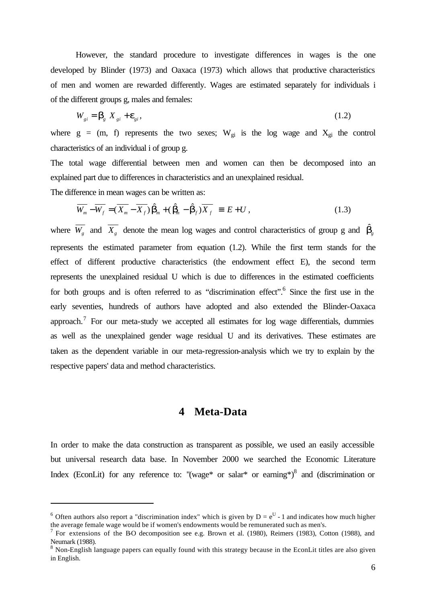However, the standard procedure to investigate differences in wages is the one developed by Blinder (1973) and Oaxaca (1973) which allows that productive characteristics of men and women are rewarded differently. Wages are estimated separately for individuals i of the different groups g, males and females:

$$
W_{gi} = \mathbf{b}_g X_{gi} + \mathbf{e}_{gi},\tag{1.2}
$$

where  $g = (m, f)$  represents the two sexes;  $W_{gi}$  is the log wage and  $X_{gi}$  the control characteristics of an individual i of group g.

The total wage differential between men and women can then be decomposed into an explained part due to differences in characteristics and an unexplained residual.

The difference in mean wages can be written as:

l

$$
\overline{W_m} - \overline{W_f} = (\overline{X_m} - \overline{X_f}) \hat{\boldsymbol{b}}_m + (\hat{\boldsymbol{b}}_m - \hat{\boldsymbol{b}}_f) \overline{X_f} \equiv E + U, \qquad (1.3)
$$

where  $\overline{W_g}$  and  $\overline{X_g}$  denote the mean log wages and control characteristics of group g and  $\hat{D}_g$ represents the estimated parameter from equation (1.2). While the first term stands for the effect of different productive characteristics (the endowment effect E), the second term represents the unexplained residual U which is due to differences in the estimated coefficients for both groups and is often referred to as "discrimination effect".<sup>6</sup> Since the first use in the early seventies, hundreds of authors have adopted and also extended the Blinder-Oaxaca approach.<sup>7</sup> For our meta-study we accepted all estimates for log wage differentials, dummies as well as the unexplained gender wage residual U and its derivatives. These estimates are taken as the dependent variable in our meta-regression-analysis which we try to explain by the respective papers' data and method characteristics.

## **4 Meta-Data**

In order to make the data construction as transparent as possible, we used an easily accessible but universal research data base. In November 2000 we searched the Economic Literature Index (EconLit) for any reference to: "(wage\* or salar\* or earning\*) $8$  and (discrimination or

<sup>&</sup>lt;sup>6</sup> Often authors also report a "discrimination index" which is given by  $D = e^U - 1$  and indicates how much higher the average female wage would be if women's endowments would be remunerated such as men's.

<sup>&</sup>lt;sup>7</sup> For extensions of the BO decomposition see e.g. Brown et al. (1980), Reimers (1983), Cotton (1988), and Neumark (1988).

 $8$  Non-English language papers can equally found with this strategy because in the EconLit titles are also given in English.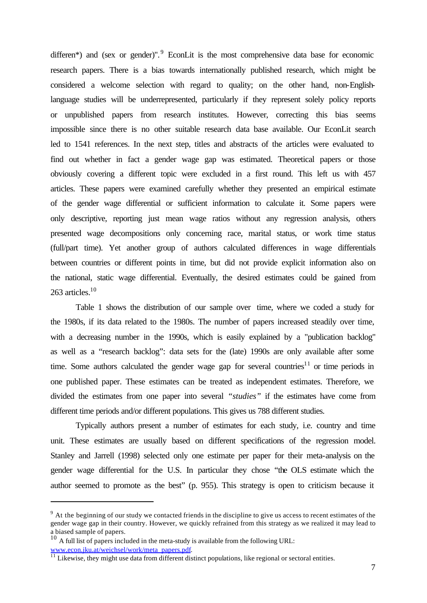differen\*) and (sex or gender)". <sup>9</sup> EconLit is the most comprehensive data base for economic research papers. There is a bias towards internationally published research, which might be considered a welcome selection with regard to quality; on the other hand, non-Englishlanguage studies will be underrepresented, particularly if they represent solely policy reports or unpublished papers from research institutes. However, correcting this bias seems impossible since there is no other suitable research data base available. Our EconLit search led to 1541 references. In the next step, titles and abstracts of the articles were evaluated to find out whether in fact a gender wage gap was estimated. Theoretical papers or those obviously covering a different topic were excluded in a first round. This left us with 457 articles. These papers were examined carefully whether they presented an empirical estimate of the gender wage differential or sufficient information to calculate it. Some papers were only descriptive, reporting just mean wage ratios without any regression analysis, others presented wage decompositions only concerning race, marital status, or work time status (full/part time). Yet another group of authors calculated differences in wage differentials between countries or different points in time, but did not provide explicit information also on the national, static wage differential. Eventually, the desired estimates could be gained from 263 articles.<sup>10</sup>

Table 1 shows the distribution of our sample over time, where we coded a study for the 1980s, if its data related to the 1980s. The number of papers increased steadily over time, with a decreasing number in the 1990s, which is easily explained by a "publication backlog" as well as a "research backlog": data sets for the (late) 1990s are only available after some time. Some authors calculated the gender wage gap for several countries<sup>11</sup> or time periods in one published paper. These estimates can be treated as independent estimates. Therefore, we divided the estimates from one paper into several *"studies"* if the estimates have come from different time periods and/or different populations. This gives us 788 different studies.

Typically authors present a number of estimates for each study, i.e. country and time unit. These estimates are usually based on different specifications of the regression model. Stanley and Jarrell (1998) selected only one estimate per paper for their meta-analysis on the gender wage differential for the U.S. In particular they chose "the OLS estimate which the author seemed to promote as the best" (p. 955). This strategy is open to criticism because it

 $9<sup>9</sup>$  At the beginning of our study we contacted friends in the discipline to give us access to recent estimates of the gender wage gap in their country. However, we quickly refrained from this strategy as we realized it may lead to a biased sample of papers.

<sup>&</sup>lt;sup>10</sup> A full list of papers included in the meta-study is available from the following URL: www.econ.jku.at/weichsel/work/meta\_papers.pdf.

<sup>&</sup>lt;sup>11</sup> Likewise, they might use data from different distinct populations, like regional or sectoral entities.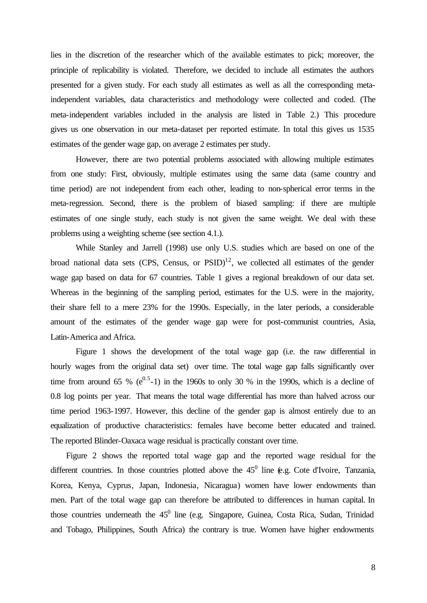lies in the discretion of the researcher which of the available estimates to pick; moreover, the principle of replicability is violated. Therefore, we decided to include all estimates the authors presented for a given study. For each study all estimates as well as all the corresponding metaindependent variables, data characteristics and methodology were collected and coded. (The meta-independent variables included in the analysis are listed in Table 2.) This procedure gives us one observation in our meta-dataset per reported estimate. In total this gives us 1535 estimates of the gender wage gap, on average 2 estimates per study.

However, there are two potential problems associated with allowing multiple estimates from one study: First, obviously, multiple estimates using the same data (same country and time period) are not independent from each other, leading to non-spherical error terms in the meta-regression. Second, there is the problem of biased sampling: if there are multiple estimates of one single study, each study is not given the same weight. We deal with these problems using a weighting scheme (see section 4.1.).

While Stanley and Jarrell (1998) use only U.S. studies which are based on one of the broad national data sets (CPS, Census, or  $PSID$ )<sup>12</sup>, we collected all estimates of the gender wage gap based on data for 67 countries. Table 1 gives a regional breakdown of our data set. Whereas in the beginning of the sampling period, estimates for the U.S. were in the majority, their share fell to a mere 23% for the 1990s. Especially, in the later periods, a considerable amount of the estimates of the gender wage gap were for post-communist countries, Asia, Latin-America and Africa.

Figure 1 shows the development of the total wage gap (i.e. the raw differential in hourly wages from the original data set) over time. The total wage gap falls significantly over time from around 65 %  $(e^{0.5}-1)$  in the 1960s to only 30 % in the 1990s, which is a decline of 0.8 log points per year. That means the total wage differential has more than halved across our time period 1963-1997. However, this decline of the gender gap is almost entirely due to an equalization of productive characteristics: females have become better educated and trained. The reported Blinder-Oaxaca wage residual is practically constant over time.

Figure 2 shows the reported total wage gap and the reported wage residual for the different countries. In those countries plotted above the  $45^0$  line (e.g. Cote d'Ivoire, Tanzania, Korea, Kenya, Cyprus, Japan, Indonesia, Nicaragua) women have lower endowments than men. Part of the total wage gap can therefore be attributed to differences in human capital. In those countries underneath the  $45^0$  line (e.g. Singapore, Guinea, Costa Rica, Sudan, Trinidad and Tobago, Philippines, South Africa) the contrary is true. Women have higher endowments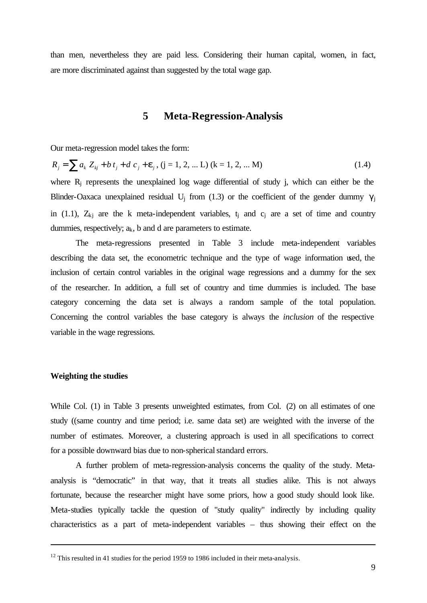than men, nevertheless they are paid less. Considering their human capital, women, in fact, are more discriminated against than suggested by the total wage gap.

## **5 Meta-Regression-Analysis**

Our meta-regression model takes the form:

$$
R_j = \sum a_k Z_{kj} + b t_j + d c_j + \mathbf{e}_j, (j = 1, 2, \dots L) (k = 1, 2, \dots M)
$$
\n(1.4)

\nwhere  $R$  represents the unexplained log, use of differential of study, i, which can either be the

where  $R_i$  represents the unexplained log wage differential of study j, which can either be the Blinder-Oaxaca unexplained residual U<sub>i</sub> from (1.3) or the coefficient of the gender dummy  $\gamma_i$ in (1.1),  $Z_{ki}$  are the k meta-independent variables, t<sub>i</sub> and c<sub>i</sub> are a set of time and country dummies, respectively;  $a_k$ , b and d are parameters to estimate.

The meta-regressions presented in Table 3 include meta-independent variables describing the data set, the econometric technique and the type of wage information used, the inclusion of certain control variables in the original wage regressions and a dummy for the sex of the researcher. In addition, a full set of country and time dummies is included. The base category concerning the data set is always a random sample of the total population. Concerning the control variables the base category is always the *inclusion* of the respective variable in the wage regressions.

#### **Weighting the studies**

l

While Col. (1) in Table 3 presents unweighted estimates, from Col. (2) on all estimates of one study ((same country and time period; i.e. same data set) are weighted with the inverse of the number of estimates. Moreover, a clustering approach is used in all specifications to correct for a possible downward bias due to non-spherical standard errors.

A further problem of meta-regression-analysis concerns the quality of the study. Metaanalysis is "democratic" in that way, that it treats all studies alike. This is not always fortunate, because the researcher might have some priors, how a good study should look like. Meta-studies typically tackle the question of "study quality" indirectly by including quality characteristics as a part of meta-independent variables – thus showing their effect on the

 $12$  This resulted in 41 studies for the period 1959 to 1986 included in their meta-analysis.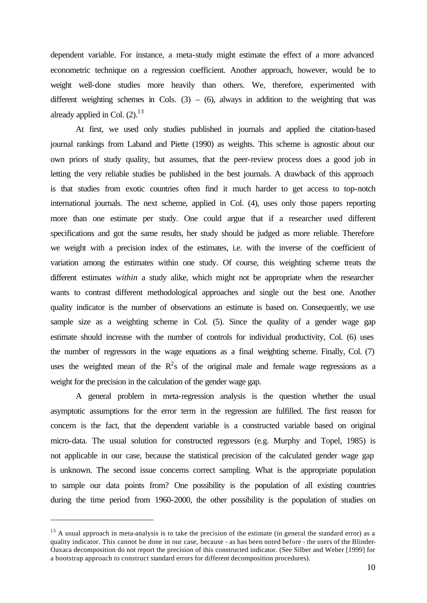dependent variable. For instance, a meta-study might estimate the effect of a more advanced econometric technique on a regression coefficient. Another approach, however, would be to weight well-done studies more heavily than others. We, therefore, experimented with different weighting schemes in Cols.  $(3) - (6)$ , always in addition to the weighting that was already applied in Col.  $(2).<sup>13</sup>$ 

At first, we used only studies published in journals and applied the citation-based journal rankings from Laband and Piette (1990) as weights. This scheme is agnostic about our own priors of study quality, but assumes, that the peer-review process does a good job in letting the very reliable studies be published in the best journals. A drawback of this approach is that studies from exotic countries often find it much harder to get access to top-notch international journals. The next scheme, applied in Col. (4), uses only those papers reporting more than one estimate per study. One could argue that if a researcher used different specifications and got the same results, her study should be judged as more reliable. Therefore we weight with a precision index of the estimates, i.e. with the inverse of the coefficient of variation among the estimates within one study. Of course, this weighting scheme treats the different estimates *within* a study alike, which might not be appropriate when the researcher wants to contrast different methodological approaches and single out the best one. Another quality indicator is the number of observations an estimate is based on. Consequently, we use sample size as a weighting scheme in Col. (5). Since the quality of a gender wage gap estimate should increase with the number of controls for individual productivity, Col. (6) uses the number of regressors in the wage equations as a final weighting scheme. Finally, Col. (7) uses the weighted mean of the  $R^2$ s of the original male and female wage regressions as a weight for the precision in the calculation of the gender wage gap.

A general problem in meta-regression analysis is the question whether the usual asymptotic assumptions for the error term in the regression are fulfilled. The first reason for concern is the fact, that the dependent variable is a constructed variable based on original micro-data. The usual solution for constructed regressors (e.g. Murphy and Topel, 1985) is not applicable in our case, because the statistical precision of the calculated gender wage gap is unknown. The second issue concerns correct sampling. What is the appropriate population to sample our data points from? One possibility is the population of all existing countries during the time period from 1960-2000, the other possibility is the population of studies on

 $13$  A usual approach in meta-analysis is to take the precision of the estimate (in general the standard error) as a quality indicator. This cannot be done in our case, because - as has been noted before - the users of the Blinder-Oaxaca decomposition do not report the precision of this constructed indicator. (See Silber and Weber [1999] for a bootstrap approach to construct standard errors for different decomposition procedures).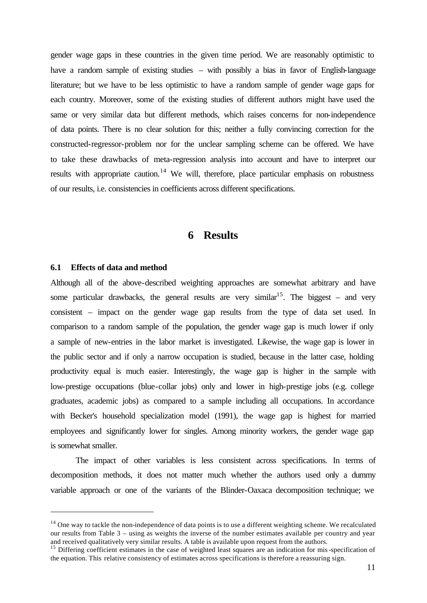gender wage gaps in these countries in the given time period. We are reasonably optimistic to have a random sample of existing studies – with possibly a bias in favor of English-language literature; but we have to be less optimistic to have a random sample of gender wage gaps for each country. Moreover, some of the existing studies of different authors might have used the same or very similar data but different methods, which raises concerns for non-independence of data points. There is no clear solution for this; neither a fully convincing correction for the constructed-regressor-problem nor for the unclear sampling scheme can be offered. We have to take these drawbacks of meta-regression analysis into account and have to interpret our results with appropriate caution.<sup>14</sup> We will, therefore, place particular emphasis on robustness of our results, i.e. consistencies in coefficients across different specifications.

## **6 Results**

#### **6.1 Effects of data and method**

l

Although all of the above-described weighting approaches are somewhat arbitrary and have some particular drawbacks, the general results are very similar<sup>15</sup>. The biggest – and very consistent – impact on the gender wage gap results from the type of data set used. In comparison to a random sample of the population, the gender wage gap is much lower if only a sample of new-entries in the labor market is investigated. Likewise, the wage gap is lower in the public sector and if only a narrow occupation is studied, because in the latter case, holding productivity equal is much easier. Interestingly, the wage gap is higher in the sample with low-prestige occupations (blue-collar jobs) only and lower in high-prestige jobs (e.g. college graduates, academic jobs) as compared to a sample including all occupations. In accordance with Becker's household specialization model (1991), the wage gap is highest for married employees and significantly lower for singles. Among minority workers, the gender wage gap is somewhat smaller.

The impact of other variables is less consistent across specifications. In terms of decomposition methods, it does not matter much whether the authors used only a dummy variable approach or one of the variants of the Blinder-Oaxaca decomposition technique; we

 $14$  One way to tackle the non-independence of data points is to use a different weighting scheme. We recalculated our results from Table 3 – using as weights the inverse of the number estimates available per country and year and received qualitatively very similar results. A table is available upon request from the authors.

<sup>&</sup>lt;sup>15</sup> Differing coefficient estimates in the case of weighted least squares are an indication for mis-specification of the equation. This relative consistency of estimates across specifications is therefore a reassuring sign.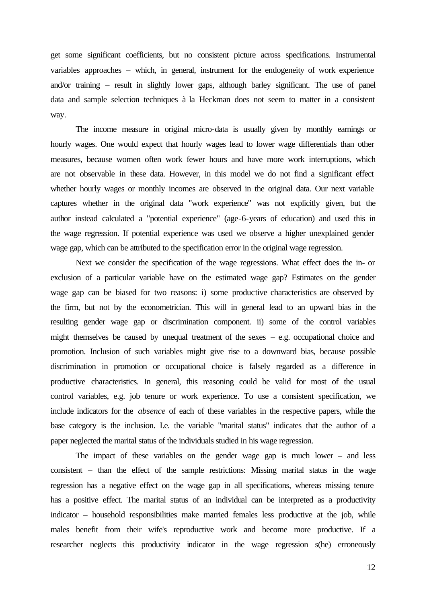get some significant coefficients, but no consistent picture across specifications. Instrumental variables approaches – which, in general, instrument for the endogeneity of work experience and/or training – result in slightly lower gaps, although barley significant. The use of panel data and sample selection techniques à la Heckman does not seem to matter in a consistent way.

The income measure in original micro-data is usually given by monthly earnings or hourly wages. One would expect that hourly wages lead to lower wage differentials than other measures, because women often work fewer hours and have more work interruptions, which are not observable in these data. However, in this model we do not find a significant effect whether hourly wages or monthly incomes are observed in the original data. Our next variable captures whether in the original data "work experience" was not explicitly given, but the author instead calculated a "potential experience" (age-6-years of education) and used this in the wage regression. If potential experience was used we observe a higher unexplained gender wage gap, which can be attributed to the specification error in the original wage regression.

Next we consider the specification of the wage regressions. What effect does the in- or exclusion of a particular variable have on the estimated wage gap? Estimates on the gender wage gap can be biased for two reasons: i) some productive characteristics are observed by the firm, but not by the econometrician. This will in general lead to an upward bias in the resulting gender wage gap or discrimination component. ii) some of the control variables might themselves be caused by unequal treatment of the sexes – e.g. occupational choice and promotion. Inclusion of such variables might give rise to a downward bias, because possible discrimination in promotion or occupational choice is falsely regarded as a difference in productive characteristics. In general, this reasoning could be valid for most of the usual control variables, e.g. job tenure or work experience. To use a consistent specification, we include indicators for the *absence* of each of these variables in the respective papers, while the base category is the inclusion. I.e. the variable "marital status" indicates that the author of a paper neglected the marital status of the individuals studied in his wage regression.

The impact of these variables on the gender wage gap is much lower – and less consistent – than the effect of the sample restrictions: Missing marital status in the wage regression has a negative effect on the wage gap in all specifications, whereas missing tenure has a positive effect. The marital status of an individual can be interpreted as a productivity indicator – household responsibilities make married females less productive at the job, while males benefit from their wife's reproductive work and become more productive. If a researcher neglects this productivity indicator in the wage regression s(he) erroneously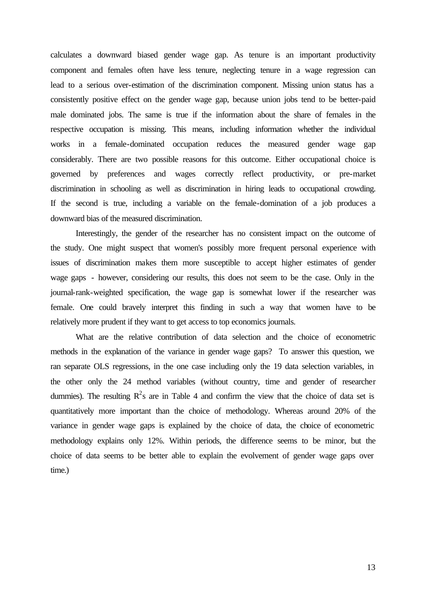calculates a downward biased gender wage gap. As tenure is an important productivity component and females often have less tenure, neglecting tenure in a wage regression can lead to a serious over-estimation of the discrimination component. Missing union status has a consistently positive effect on the gender wage gap, because union jobs tend to be better-paid male dominated jobs. The same is true if the information about the share of females in the respective occupation is missing. This means, including information whether the individual works in a female-dominated occupation reduces the measured gender wage gap considerably. There are two possible reasons for this outcome. Either occupational choice is governed by preferences and wages correctly reflect productivity, or pre-market discrimination in schooling as well as discrimination in hiring leads to occupational crowding. If the second is true, including a variable on the female-domination of a job produces a downward bias of the measured discrimination.

Interestingly, the gender of the researcher has no consistent impact on the outcome of the study. One might suspect that women's possibly more frequent personal experience with issues of discrimination makes them more susceptible to accept higher estimates of gender wage gaps - however, considering our results, this does not seem to be the case. Only in the journal-rank-weighted specification, the wage gap is somewhat lower if the researcher was female. One could bravely interpret this finding in such a way that women have to be relatively more prudent if they want to get access to top economics journals.

What are the relative contribution of data selection and the choice of econometric methods in the explanation of the variance in gender wage gaps? To answer this question, we ran separate OLS regressions, in the one case including only the 19 data selection variables, in the other only the 24 method variables (without country, time and gender of researcher dummies). The resulting  $R^2$ s are in Table 4 and confirm the view that the choice of data set is quantitatively more important than the choice of methodology. Whereas around 20% of the variance in gender wage gaps is explained by the choice of data, the choice of econometric methodology explains only 12%. Within periods, the difference seems to be minor, but the choice of data seems to be better able to explain the evolvement of gender wage gaps over time.)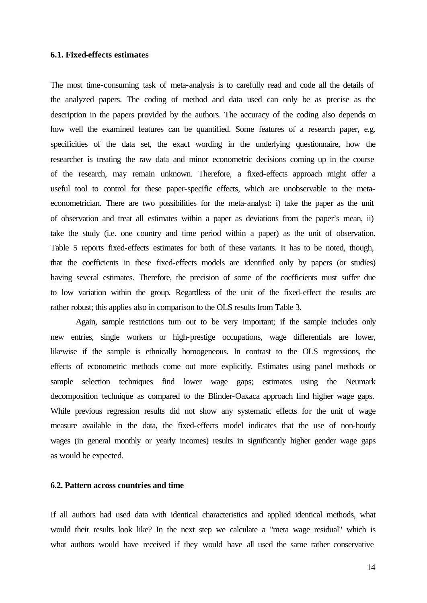#### **6.1. Fixed-effects estimates**

The most time-consuming task of meta-analysis is to carefully read and code all the details of the analyzed papers. The coding of method and data used can only be as precise as the description in the papers provided by the authors. The accuracy of the coding also depends on how well the examined features can be quantified. Some features of a research paper, e.g. specificities of the data set, the exact wording in the underlying questionnaire, how the researcher is treating the raw data and minor econometric decisions coming up in the course of the research, may remain unknown. Therefore, a fixed-effects approach might offer a useful tool to control for these paper-specific effects, which are unobservable to the metaeconometrician. There are two possibilities for the meta-analyst: i) take the paper as the unit of observation and treat all estimates within a paper as deviations from the paper's mean, ii) take the study (i.e. one country and time period within a paper) as the unit of observation. Table 5 reports fixed-effects estimates for both of these variants. It has to be noted, though, that the coefficients in these fixed-effects models are identified only by papers (or studies) having several estimates. Therefore, the precision of some of the coefficients must suffer due to low variation within the group. Regardless of the unit of the fixed-effect the results are rather robust; this applies also in comparison to the OLS results from Table 3.

Again, sample restrictions turn out to be very important; if the sample includes only new entries, single workers or high-prestige occupations, wage differentials are lower, likewise if the sample is ethnically homogeneous. In contrast to the OLS regressions, the effects of econometric methods come out more explicitly. Estimates using panel methods or sample selection techniques find lower wage gaps; estimates using the Neumark decomposition technique as compared to the Blinder-Oaxaca approach find higher wage gaps. While previous regression results did not show any systematic effects for the unit of wage measure available in the data, the fixed-effects model indicates that the use of non-hourly wages (in general monthly or yearly incomes) results in significantly higher gender wage gaps as would be expected.

#### **6.2. Pattern across countries and time**

If all authors had used data with identical characteristics and applied identical methods, what would their results look like? In the next step we calculate a "meta wage residual" which is what authors would have received if they would have all used the same rather conservative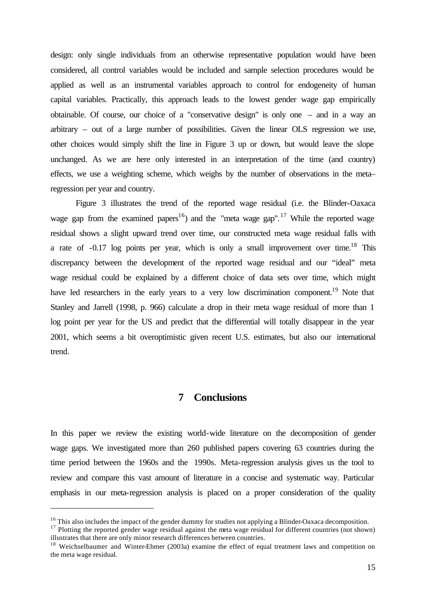design: only single individuals from an otherwise representative population would have been considered, all control variables would be included and sample selection procedures would be applied as well as an instrumental variables approach to control for endogeneity of human capital variables. Practically, this approach leads to the lowest gender wage gap empirically obtainable. Of course, our choice of a "conservative design" is only one – and in a way an arbitrary – out of a large number of possibilities. Given the linear OLS regression we use, other choices would simply shift the line in Figure 3 up or down, but would leave the slope unchanged. As we are here only interested in an interpretation of the time (and country) effects, we use a weighting scheme, which weighs by the number of observations in the meta– regression per year and country.

Figure 3 illustrates the trend of the reported wage residual (i.e. the Blinder-Oaxaca wage gap from the examined papers<sup>16</sup>) and the "meta wage gap".<sup>17</sup> While the reported wage residual shows a slight upward trend over time, our constructed meta wage residual falls with a rate of  $-0.17$  log points per year, which is only a small improvement over time.<sup>18</sup> This discrepancy between the development of the reported wage residual and our "ideal" meta wage residual could be explained by a different choice of data sets over time, which might have led researchers in the early years to a very low discrimination component.<sup>19</sup> Note that Stanley and Jarrell (1998, p. 966) calculate a drop in their meta wage residual of more than 1 log point per year for the US and predict that the differential will totally disappear in the year 2001, which seems a bit overoptimistic given recent U.S. estimates, but also our international trend.

## **7 Conclusions**

In this paper we review the existing world-wide literature on the decomposition of gender wage gaps. We investigated more than 260 published papers covering 63 countries during the time period between the 1960s and the 1990s. Meta-regression analysis gives us the tool to review and compare this vast amount of literature in a concise and systematic way. Particular emphasis in our meta-regression analysis is placed on a proper consideration of the quality

<sup>&</sup>lt;sup>16</sup> This also includes the impact of the gender dummy for studies not applying a Blinder-Oaxaca decomposition.

<sup>&</sup>lt;sup>17</sup> Plotting the reported gender wage residual against the meta wage residual for different countries (not shown) illustrates that there are only minor research differences between countries.

<sup>&</sup>lt;sup>18</sup> Weichselbaumer and Winter-Ebmer (2003a) examine the effect of equal treatment laws and competition on the meta wage residual.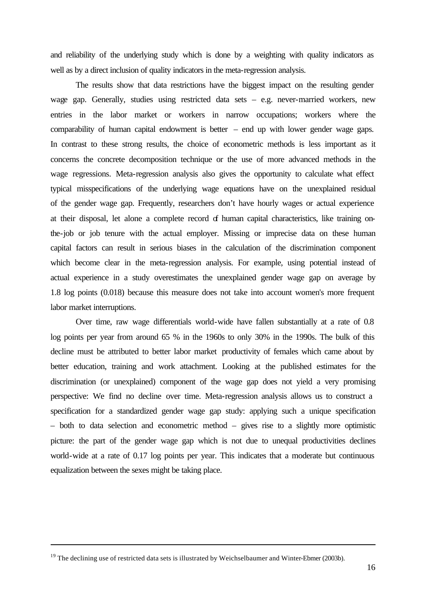and reliability of the underlying study which is done by a weighting with quality indicators as well as by a direct inclusion of quality indicators in the meta-regression analysis.

The results show that data restrictions have the biggest impact on the resulting gender wage gap. Generally, studies using restricted data sets – e.g. never-married workers, new entries in the labor market or workers in narrow occupations; workers where the comparability of human capital endowment is better – end up with lower gender wage gaps. In contrast to these strong results, the choice of econometric methods is less important as it concerns the concrete decomposition technique or the use of more advanced methods in the wage regressions. Meta-regression analysis also gives the opportunity to calculate what effect typical misspecifications of the underlying wage equations have on the unexplained residual of the gender wage gap. Frequently, researchers don't have hourly wages or actual experience at their disposal, let alone a complete record of human capital characteristics, like training onthe-job or job tenure with the actual employer. Missing or imprecise data on these human capital factors can result in serious biases in the calculation of the discrimination component which become clear in the meta-regression analysis. For example, using potential instead of actual experience in a study overestimates the unexplained gender wage gap on average by 1.8 log points (0.018) because this measure does not take into account women's more frequent labor market interruptions.

Over time, raw wage differentials world-wide have fallen substantially at a rate of 0.8 log points per year from around 65 % in the 1960s to only 30% in the 1990s. The bulk of this decline must be attributed to better labor market productivity of females which came about by better education, training and work attachment. Looking at the published estimates for the discrimination (or unexplained) component of the wage gap does not yield a very promising perspective: We find no decline over time. Meta-regression analysis allows us to construct a specification for a standardized gender wage gap study: applying such a unique specification – both to data selection and econometric method – gives rise to a slightly more optimistic picture: the part of the gender wage gap which is not due to unequal productivities declines world-wide at a rate of 0.17 log points per year. This indicates that a moderate but continuous equalization between the sexes might be taking place.

 $19$  The declining use of restricted data sets is illustrated by Weichselbaumer and Winter-Ebmer (2003b).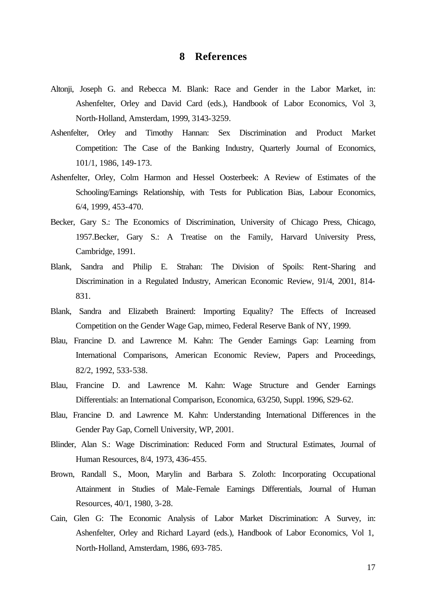## **8 References**

- Altonji, Joseph G. and Rebecca M. Blank: Race and Gender in the Labor Market, in: Ashenfelter, Orley and David Card (eds.), Handbook of Labor Economics, Vol 3, North-Holland, Amsterdam, 1999, 3143-3259.
- Ashenfelter, Orley and Timothy Hannan: Sex Discrimination and Product Market Competition: The Case of the Banking Industry, Quarterly Journal of Economics, 101/1, 1986, 149-173.
- Ashenfelter, Orley, Colm Harmon and Hessel Oosterbeek: A Review of Estimates of the Schooling/Earnings Relationship, with Tests for Publication Bias, Labour Economics, 6/4, 1999, 453-470.
- Becker, Gary S.: The Economics of Discrimination, University of Chicago Press, Chicago, 1957.Becker, Gary S.: A Treatise on the Family, Harvard University Press, Cambridge, 1991.
- Blank, Sandra and Philip E. Strahan: The Division of Spoils: Rent-Sharing and Discrimination in a Regulated Industry, American Economic Review, 91/4, 2001, 814- 831.
- Blank, Sandra and Elizabeth Brainerd: Importing Equality? The Effects of Increased Competition on the Gender Wage Gap, mimeo, Federal Reserve Bank of NY, 1999.
- Blau, Francine D. and Lawrence M. Kahn: The Gender Earnings Gap: Learning from International Comparisons, American Economic Review, Papers and Proceedings, 82/2, 1992, 533-538.
- Blau, Francine D. and Lawrence M. Kahn: Wage Structure and Gender Earnings Differentials: an International Comparison, Economica, 63/250, Suppl. 1996, S29-62.
- Blau, Francine D. and Lawrence M. Kahn: Understanding International Differences in the Gender Pay Gap, Cornell University, WP, 2001.
- Blinder, Alan S.: Wage Discrimination: Reduced Form and Structural Estimates, Journal of Human Resources, 8/4, 1973, 436-455.
- Brown, Randall S., Moon, Marylin and Barbara S. Zoloth: Incorporating Occupational Attainment in Studies of Male-Female Earnings Differentials, Journal of Human Resources, 40/1, 1980, 3-28.
- Cain, Glen G: The Economic Analysis of Labor Market Discrimination: A Survey, in: Ashenfelter, Orley and Richard Layard (eds.), Handbook of Labor Economics, Vol 1, North-Holland, Amsterdam, 1986, 693-785.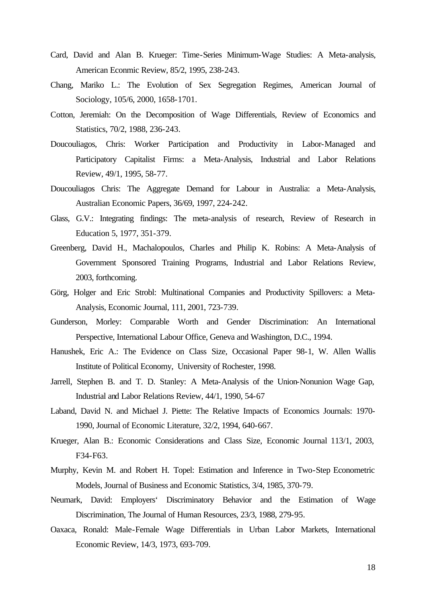- Card, David and Alan B. Krueger: Time-Series Minimum-Wage Studies: A Meta-analysis, American Econmic Review, 85/2, 1995, 238-243.
- Chang, Mariko L.: The Evolution of Sex Segregation Regimes, American Journal of Sociology, 105/6, 2000, 1658-1701.
- Cotton, Jeremiah: On the Decomposition of Wage Differentials, Review of Economics and Statistics, 70/2, 1988, 236-243.
- Doucouliagos, Chris: Worker Participation and Productivity in Labor-Managed and Participatory Capitalist Firms: a Meta-Analysis, Industrial and Labor Relations Review, 49/1, 1995, 58-77.
- Doucouliagos Chris: The Aggregate Demand for Labour in Australia: a Meta-Analysis, Australian Economic Papers, 36/69, 1997, 224-242.
- Glass, G.V.: Integrating findings: The meta-analysis of research, Review of Research in Education 5, 1977, 351-379.
- Greenberg, David H., Machalopoulos, Charles and Philip K. Robins: A Meta-Analysis of Government Sponsored Training Programs, Industrial and Labor Relations Review, 2003, forthcoming.
- Görg, Holger and Eric Strobl: Multinational Companies and Productivity Spillovers: a Meta-Analysis, Economic Journal, 111, 2001, 723-739.
- Gunderson, Morley: Comparable Worth and Gender Discrimination: An International Perspective, International Labour Office, Geneva and Washington, D.C., 1994.
- Hanushek, Eric A.: The Evidence on Class Size, Occasional Paper 98-1, W. Allen Wallis Institute of Political Economy, University of Rochester, 1998.
- Jarrell, Stephen B. and T. D. Stanley: A Meta-Analysis of the Union-Nonunion Wage Gap, Industrial and Labor Relations Review, 44/1, 1990, 54-67
- Laband, David N. and Michael J. Piette: The Relative Impacts of Economics Journals: 1970- 1990, Journal of Economic Literature, 32/2, 1994, 640-667.
- Krueger, Alan B.: Economic Considerations and Class Size, Economic Journal 113/1, 2003, F34-F63.
- Murphy, Kevin M. and Robert H. Topel: Estimation and Inference in Two-Step Econometric Models, Journal of Business and Economic Statistics, 3/4, 1985, 370-79.
- Neumark, David: Employers' Discriminatory Behavior and the Estimation of Wage Discrimination, The Journal of Human Resources, 23/3, 1988, 279-95.
- Oaxaca, Ronald: Male-Female Wage Differentials in Urban Labor Markets, International Economic Review, 14/3, 1973, 693-709.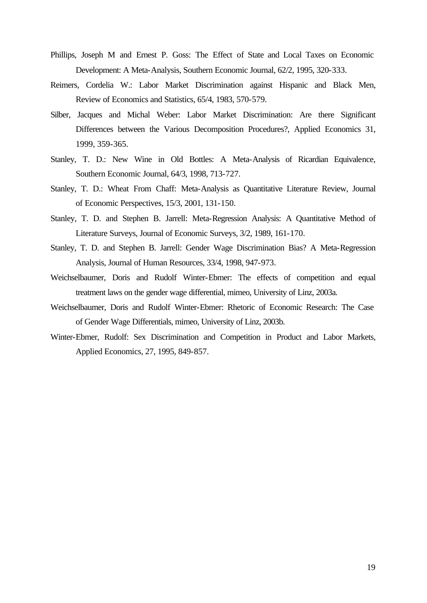- Phillips, Joseph M and Ernest P. Goss: The Effect of State and Local Taxes on Economic Development: A Meta-Analysis, Southern Economic Journal, 62/2, 1995, 320-333.
- Reimers, Cordelia W.: Labor Market Discrimination against Hispanic and Black Men, Review of Economics and Statistics, 65/4, 1983, 570-579.
- Silber, Jacques and Michal Weber: Labor Market Discrimination: Are there Significant Differences between the Various Decomposition Procedures?, Applied Economics 31, 1999, 359-365.
- Stanley, T. D.: New Wine in Old Bottles: A Meta-Analysis of Ricardian Equivalence, Southern Economic Journal, 64/3, 1998, 713-727.
- Stanley, T. D.: Wheat From Chaff: Meta-Analysis as Quantitative Literature Review, Journal of Economic Perspectives, 15/3, 2001, 131-150.
- Stanley, T. D. and Stephen B. Jarrell: Meta-Regression Analysis: A Quantitative Method of Literature Surveys, Journal of Economic Surveys, 3/2, 1989, 161-170.
- Stanley, T. D. and Stephen B. Jarrell: Gender Wage Discrimination Bias? A Meta-Regression Analysis, Journal of Human Resources, 33/4, 1998, 947-973.
- Weichselbaumer, Doris and Rudolf Winter-Ebmer: The effects of competition and equal treatment laws on the gender wage differential, mimeo, University of Linz, 2003a.
- Weichselbaumer, Doris and Rudolf Winter-Ebmer: Rhetoric of Economic Research: The Case of Gender Wage Differentials, mimeo, University of Linz, 2003b.
- Winter-Ebmer, Rudolf: Sex Discrimination and Competition in Product and Labor Markets, Applied Economics, 27, 1995, 849-857.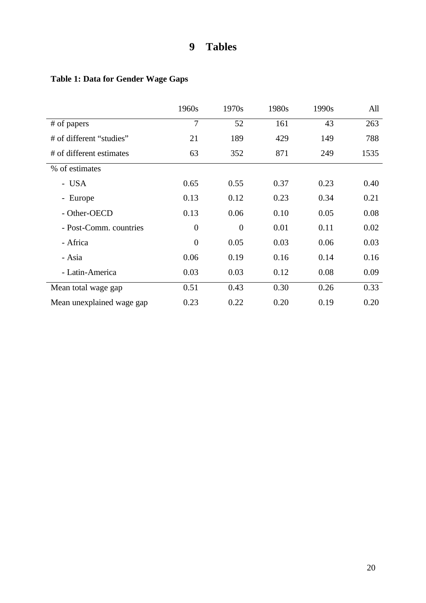## **9 Tables**

## **Table 1: Data for Gender Wage Gaps**

|                           | 1960s    | 1970s    | 1980s | 1990s | All  |
|---------------------------|----------|----------|-------|-------|------|
| # of papers               | 7        | 52       | 161   | 43    | 263  |
| # of different "studies"  | 21       | 189      | 429   | 149   | 788  |
| # of different estimates  | 63       | 352      | 871   | 249   | 1535 |
| % of estimates            |          |          |       |       |      |
| - USA                     | 0.65     | 0.55     | 0.37  | 0.23  | 0.40 |
| - Europe                  | 0.13     | 0.12     | 0.23  | 0.34  | 0.21 |
| - Other-OECD              | 0.13     | 0.06     | 0.10  | 0.05  | 0.08 |
| - Post-Comm. countries    | $\theta$ | $\theta$ | 0.01  | 0.11  | 0.02 |
| - Africa                  | $\theta$ | 0.05     | 0.03  | 0.06  | 0.03 |
| - Asia                    | 0.06     | 0.19     | 0.16  | 0.14  | 0.16 |
| - Latin-America           | 0.03     | 0.03     | 0.12  | 0.08  | 0.09 |
| Mean total wage gap       | 0.51     | 0.43     | 0.30  | 0.26  | 0.33 |
| Mean unexplained wage gap | 0.23     | 0.22     | 0.20  | 0.19  | 0.20 |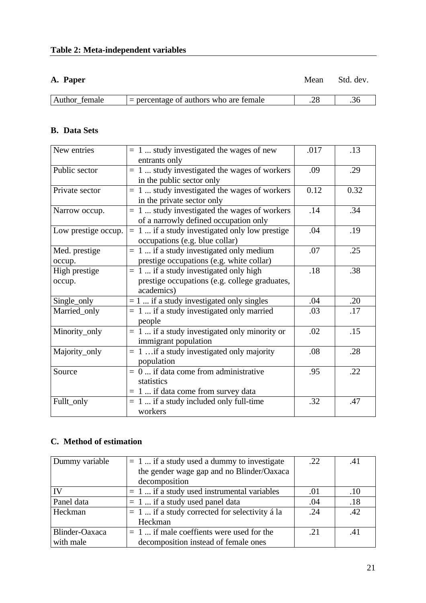**A. Paper** Mean Std. dev.

| Author female | $=$ percentage of authors who are female |  |
|---------------|------------------------------------------|--|
|               |                                          |  |

## **B. Data Sets**

| New entries             | $= 1$ study investigated the wages of new<br>entrants only                                             | .017 | .13  |
|-------------------------|--------------------------------------------------------------------------------------------------------|------|------|
| Public sector           | $= 1$ study investigated the wages of workers<br>in the public sector only                             | .09  | .29  |
| Private sector          | $= 1$ study investigated the wages of workers<br>in the private sector only                            | 0.12 | 0.32 |
| Narrow occup.           | $= 1$ study investigated the wages of workers<br>of a narrowly defined occupation only                 | .14  | .34  |
| Low prestige occup.     | $= 1$ if a study investigated only low prestige<br>occupations (e.g. blue collar)                      | .04  | .19  |
| Med. prestige<br>occup. | $= 1$ if a study investigated only medium<br>prestige occupations (e.g. white collar)                  | .07  | .25  |
| High prestige<br>occup. | $= 1$ if a study investigated only high<br>prestige occupations (e.g. college graduates,<br>academics) | .18  | .38  |
| Single_only             | $= 1$ if a study investigated only singles                                                             | .04  | .20  |
| Married_only            | $= 1$ if a study investigated only married<br>people                                                   | .03  | .17  |
| Minority_only           | $= 1$ if a study investigated only minority or<br>immigrant population                                 | .02  | .15  |
| Majority_only           | $= 1$ if a study investigated only majority<br>population                                              | .08  | .28  |
| Source                  | $= 0$ if data come from administrative<br>statistics<br>$= 1$ if data come from survey data            | .95  | .22  |
| Fullt_only              | $= 1$ if a study included only full-time<br>workers                                                    | .32  | .47  |

## **C. Method of estimation**

| Dummy variable | $= 1$ if a study used a dummy to investigate    | .22 | .41 |
|----------------|-------------------------------------------------|-----|-----|
|                | the gender wage gap and no Blinder/Oaxaca       |     |     |
|                | decomposition                                   |     |     |
|                | $= 1$ if a study used instrumental variables    | .01 | .10 |
| Panel data     | $= 1$ if a study used panel data                | .04 | .18 |
| Heckman        | $= 1$ if a study corrected for selectivity á la | .24 | 42  |
|                | Heckman                                         |     |     |
| Blinder-Oaxaca | $= 1$ if male coeffients were used for the      | -21 | -41 |
| with male      | decomposition instead of female ones            |     |     |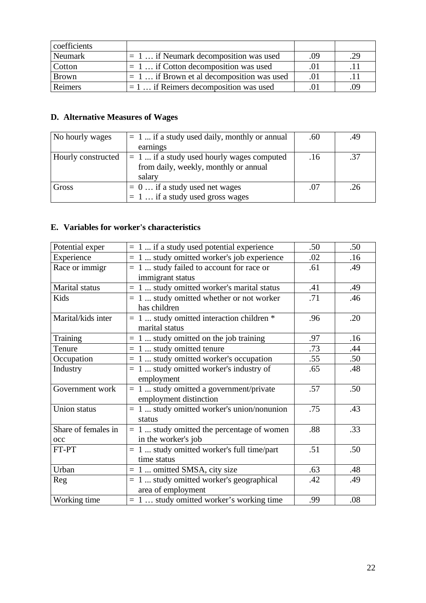| coefficients  |                                             |     |      |
|---------------|---------------------------------------------|-----|------|
| Neumark       | $= 1$ if Neumark decomposition was used     | .09 | .29  |
| <b>Cotton</b> | $= 1 $ if Cotton decomposition was used     | .01 | . 11 |
| <b>Brown</b>  | $= 1$ if Brown et al decomposition was used | -01 | . 11 |
| Reimers       | $= 1$ if Reimers decomposition was used     | .01 | .09  |

## **D. Alternative Measures of Wages**

| No hourly wages    | $= 1$ if a study used daily, monthly or annual | .60 | .49 |
|--------------------|------------------------------------------------|-----|-----|
|                    | earnings                                       |     |     |
| Hourly constructed | $= 1$ if a study used hourly wages computed    | .16 | .37 |
|                    | from daily, weekly, monthly or annual          |     |     |
|                    | salary                                         |     |     |
| Gross              | $= 0 \dots$ if a study used net wages          | .07 | .26 |
|                    | $= 1 $ if a study used gross wages             |     |     |

## **E. Variables for worker's characteristics**

| Potential exper     | $= 1$ if a study used potential experience   | .50 | .50 |
|---------------------|----------------------------------------------|-----|-----|
| Experience          | $= 1$ study omitted worker's job experience  | .02 | .16 |
| Race or immigr      | $= 1$ study failed to account for race or    | .61 | .49 |
|                     | immigrant status                             |     |     |
| Marital status      | $= 1$ study omitted worker's marital status  | .41 | .49 |
| Kids                | $= 1$ study omitted whether or not worker    | .71 | .46 |
|                     | has children                                 |     |     |
| Marital/kids inter  | $= 1$ study omitted interaction children $*$ | .96 | .20 |
|                     | marital status                               |     |     |
| Training            | $= 1$ study omitted on the job training      | .97 | .16 |
| Tenure              | $= 1$ study omitted tenure                   | .73 | .44 |
| Occupation          | $= 1$ study omitted worker's occupation      | .55 | .50 |
| Industry            | $= 1$ study omitted worker's industry of     | .65 | .48 |
|                     | employment                                   |     |     |
| Government work     | $= 1$ study omitted a government/private     | .57 | .50 |
|                     | employment distinction                       |     |     |
| Union status        | $= 1$ study omitted worker's union/nonunion  | .75 | .43 |
|                     | status                                       |     |     |
| Share of females in | $= 1$ study omitted the percentage of women  | .88 | .33 |
| occ                 | in the worker's job                          |     |     |
| FT-PT               | $= 1$ study omitted worker's full time/part  | .51 | .50 |
|                     | time status                                  |     |     |
| Urban               | $= 1$ omitted SMSA, city size                | .63 | .48 |
| Reg                 | $= 1$ study omitted worker's geographical    | .42 | .49 |
|                     | area of employment                           |     |     |
| Working time        | $= 1 $ study omitted worker's working time   | .99 | .08 |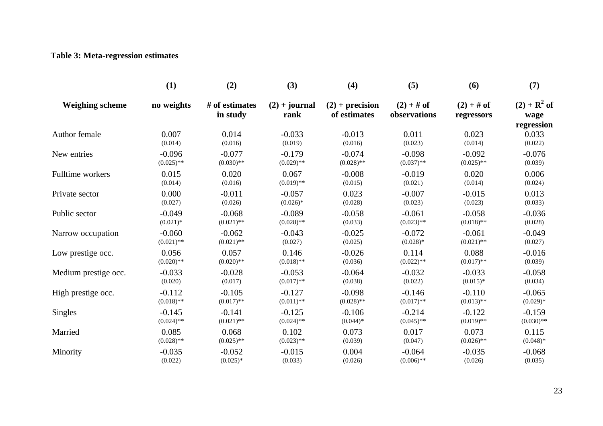## **Table 3: Meta-regression estimates**

|                        | (1)          | (2)                        | (3)                     | (4)                               | (5)                          | (6)                        | (7)                                  |
|------------------------|--------------|----------------------------|-------------------------|-----------------------------------|------------------------------|----------------------------|--------------------------------------|
| <b>Weighing scheme</b> | no weights   | # of estimates<br>in study | $(2) + journal$<br>rank | $(2) + precision$<br>of estimates | $(2) + #$ of<br>observations | $(2) + #$ of<br>regressors | $(2) + R^2$ of<br>wage<br>regression |
| Author female          | 0.007        | 0.014                      | $-0.033$                | $-0.013$                          | 0.011                        | 0.023                      | 0.033                                |
|                        | (0.014)      | (0.016)                    | (0.019)                 | (0.016)                           | (0.023)                      | (0.014)                    | (0.022)                              |
| New entries            | $-0.096$     | $-0.077$                   | $-0.179$                | $-0.074$                          | $-0.098$                     | $-0.092$                   | $-0.076$                             |
|                        | $(0.025)$ ** | $(0.030)$ **               | $(0.029)$ **            | $(0.028)$ **                      | $(0.037)$ **                 | $(0.025)$ **               | (0.039)                              |
| Fulltime workers       | 0.015        | 0.020                      | 0.067                   | $-0.008$                          | $-0.019$                     | 0.020                      | 0.006                                |
|                        | (0.014)      | (0.016)                    | $(0.019)$ **            | (0.015)                           | (0.021)                      | (0.014)                    | (0.024)                              |
| Private sector         | 0.000        | $-0.011$                   | $-0.057$                | 0.023                             | $-0.007$                     | $-0.015$                   | 0.013                                |
|                        | (0.027)      | (0.026)                    | $(0.026)*$              | (0.028)                           | (0.023)                      | (0.023)                    | (0.033)                              |
| Public sector          | $-0.049$     | $-0.068$                   | $-0.089$                | $-0.058$                          | $-0.061$                     | $-0.058$                   | $-0.036$                             |
|                        | $(0.021)$ *  | $(0.021)$ **               | $(0.028)$ **            | (0.033)                           | $(0.023)$ **                 | $(0.018)$ **               | (0.028)                              |
| Narrow occupation      | $-0.060$     | $-0.062$                   | $-0.043$                | $-0.025$                          | $-0.072$                     | $-0.061$                   | $-0.049$                             |
|                        | $(0.021)$ ** | $(0.021)$ **               | (0.027)                 | (0.025)                           | $(0.028)*$                   | $(0.021)$ **               | (0.027)                              |
| Low prestige occ.      | 0.056        | 0.057                      | 0.146                   | $-0.026$                          | 0.114                        | 0.088                      | $-0.016$                             |
|                        | $(0.020)$ ** | $(0.020)$ **               | $(0.018)$ **            | (0.036)                           | $(0.022)$ **                 | $(0.017)$ **               | (0.039)                              |
| Medium prestige occ.   | $-0.033$     | $-0.028$                   | $-0.053$                | $-0.064$                          | $-0.032$                     | $-0.033$                   | $-0.058$                             |
|                        | (0.020)      | (0.017)                    | $(0.017)$ **            | (0.038)                           | (0.022)                      | $(0.015)*$                 | (0.034)                              |
| High prestige occ.     | $-0.112$     | $-0.105$                   | $-0.127$                | $-0.098$                          | $-0.146$                     | $-0.110$                   | $-0.065$                             |
|                        | $(0.018)$ ** | $(0.017)$ **               | $(0.011)$ **            | $(0.028)$ **                      | $(0.017)$ **                 | $(0.013)$ **               | $(0.029)*$                           |
| <b>Singles</b>         | $-0.145$     | $-0.141$                   | $-0.125$                | $-0.106$                          | $-0.214$                     | $-0.122$                   | $-0.159$                             |
|                        | $(0.024)$ ** | $(0.021)$ **               | $(0.024)$ **            | $(0.044)*$                        | $(0.045)$ **                 | $(0.019)$ **               | $(0.030)$ **                         |
| Married                | 0.085        | 0.068                      | 0.102                   | 0.073                             | 0.017                        | 0.073                      | 0.115                                |
|                        | $(0.028)$ ** | $(0.025)$ **               | $(0.023)$ **            | (0.039)                           | (0.047)                      | $(0.026)$ **               | $(0.048)*$                           |
| Minority               | $-0.035$     | $-0.052$                   | $-0.015$                | 0.004                             | $-0.064$                     | $-0.035$                   | $-0.068$                             |
|                        | (0.022)      | $(0.025)*$                 | (0.033)                 | (0.026)                           | $(0.006)$ **                 | (0.026)                    | (0.035)                              |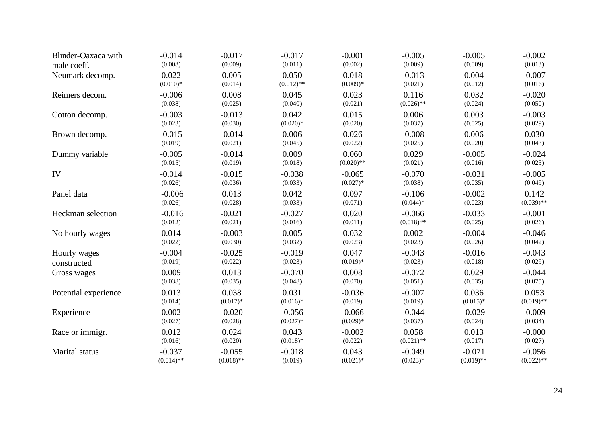| Blinder-Oaxaca with  | $-0.014$     | $-0.017$     | $-0.017$     | $-0.001$     | $-0.005$     | $-0.005$     | $-0.002$     |
|----------------------|--------------|--------------|--------------|--------------|--------------|--------------|--------------|
| male coeff.          | (0.008)      | (0.009)      | (0.011)      | (0.002)      | (0.009)      | (0.009)      | (0.013)      |
| Neumark decomp.      | 0.022        | 0.005        | 0.050        | 0.018        | $-0.013$     | 0.004        | $-0.007$     |
|                      | $(0.010)*$   | (0.014)      | $(0.012)$ ** | $(0.009)*$   | (0.021)      | (0.012)      | (0.016)      |
| Reimers decom.       | $-0.006$     | 0.008        | 0.045        | 0.023        | 0.116        | 0.032        | $-0.020$     |
|                      | (0.038)      | (0.025)      | (0.040)      | (0.021)      | $(0.026)$ ** | (0.024)      | (0.050)      |
| Cotton decomp.       | $-0.003$     | $-0.013$     | 0.042        | 0.015        | 0.006        | 0.003        | $-0.003$     |
|                      | (0.023)      | (0.030)      | $(0.020)*$   | (0.020)      | (0.037)      | (0.025)      | (0.029)      |
| Brown decomp.        | $-0.015$     | $-0.014$     | 0.006        | 0.026        | $-0.008$     | 0.006        | 0.030        |
|                      | (0.019)      | (0.021)      | (0.045)      | (0.022)      | (0.025)      | (0.020)      | (0.043)      |
| Dummy variable       | $-0.005$     | $-0.014$     | 0.009        | 0.060        | 0.029        | $-0.005$     | $-0.024$     |
|                      | (0.015)      | (0.019)      | (0.018)      | $(0.020)$ ** | (0.021)      | (0.016)      | (0.025)      |
| IV                   | $-0.014$     | $-0.015$     | $-0.038$     | $-0.065$     | $-0.070$     | $-0.031$     | $-0.005$     |
|                      | (0.026)      | (0.036)      | (0.033)      | $(0.027)*$   | (0.038)      | (0.035)      | (0.049)      |
| Panel data           | $-0.006$     | 0.013        | 0.042        | 0.097        | $-0.106$     | $-0.002$     | 0.142        |
|                      | (0.026)      | (0.028)      | (0.033)      | (0.071)      | $(0.044)*$   | (0.023)      | $(0.039)$ ** |
| Heckman selection    | $-0.016$     | $-0.021$     | $-0.027$     | 0.020        | $-0.066$     | $-0.033$     | $-0.001$     |
|                      | (0.012)      | (0.021)      | (0.016)      | (0.011)      | $(0.018)$ ** | (0.025)      | (0.026)      |
| No hourly wages      | 0.014        | $-0.003$     | 0.005        | 0.032        | 0.002        | $-0.004$     | $-0.046$     |
|                      | (0.022)      | (0.030)      | (0.032)      | (0.023)      | (0.023)      | (0.026)      | (0.042)      |
| Hourly wages         | $-0.004$     | $-0.025$     | $-0.019$     | 0.047        | $-0.043$     | $-0.016$     | $-0.043$     |
| constructed          | (0.019)      | (0.022)      | (0.023)      | $(0.019)*$   | (0.023)      | (0.018)      | (0.029)      |
| Gross wages          | 0.009        | 0.013        | $-0.070$     | 0.008        | $-0.072$     | 0.029        | $-0.044$     |
|                      | (0.038)      | (0.035)      | (0.048)      | (0.070)      | (0.051)      | (0.035)      | (0.075)      |
| Potential experience | 0.013        | 0.038        | 0.031        | $-0.036$     | $-0.007$     | 0.036        | 0.053        |
|                      | (0.014)      | $(0.017)*$   | $(0.016)*$   | (0.019)      | (0.019)      | $(0.015)*$   | $(0.019)$ ** |
| Experience           | 0.002        | $-0.020$     | $-0.056$     | $-0.066$     | $-0.044$     | $-0.029$     | $-0.009$     |
|                      | (0.027)      | (0.028)      | $(0.027)*$   | $(0.029)*$   | (0.037)      | (0.024)      | (0.034)      |
| Race or immigr.      | 0.012        | 0.024        | 0.043        | $-0.002$     | 0.058        | 0.013        | $-0.000$     |
|                      | (0.016)      | (0.020)      | $(0.018)*$   | (0.022)      | $(0.021)$ ** | (0.017)      | (0.027)      |
| Marital status       | $-0.037$     | $-0.055$     | $-0.018$     | 0.043        | $-0.049$     | $-0.071$     | $-0.056$     |
|                      | $(0.014)$ ** | $(0.018)$ ** | (0.019)      | $(0.021)$ *  | $(0.023)*$   | $(0.019)$ ** | $(0.022)$ ** |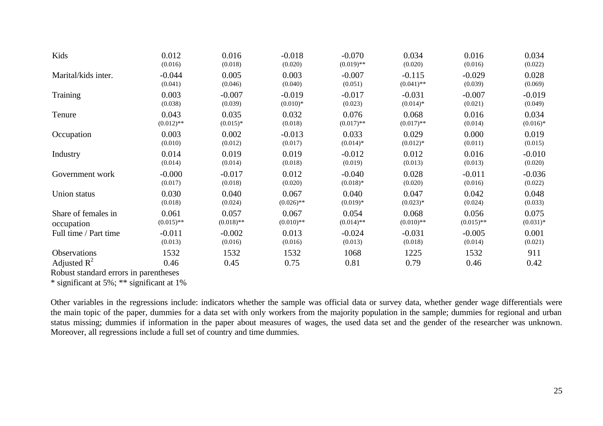| Kids                                  | 0.012        | 0.016        | $-0.018$     | $-0.070$     | 0.034        | 0.016        | 0.034      |
|---------------------------------------|--------------|--------------|--------------|--------------|--------------|--------------|------------|
|                                       | (0.016)      | (0.018)      | (0.020)      | $(0.019)$ ** | (0.020)      | (0.016)      | (0.022)    |
| Marital/kids inter.                   | $-0.044$     | 0.005        | 0.003        | $-0.007$     | $-0.115$     | $-0.029$     | 0.028      |
|                                       | (0.041)      | (0.046)      | (0.040)      | (0.051)      | $(0.041)$ ** | (0.039)      | (0.069)    |
| <b>Training</b>                       | 0.003        | $-0.007$     | $-0.019$     | $-0.017$     | $-0.031$     | $-0.007$     | $-0.019$   |
|                                       | (0.038)      | (0.039)      | $(0.010)*$   | (0.023)      | $(0.014)*$   | (0.021)      | (0.049)    |
| Tenure                                | 0.043        | 0.035        | 0.032        | 0.076        | 0.068        | 0.016        | 0.034      |
|                                       | $(0.012)$ ** | $(0.015)*$   | (0.018)      | $(0.017)$ ** | $(0.017)$ ** | (0.014)      | $(0.016)*$ |
| Occupation                            | 0.003        | 0.002        | $-0.013$     | 0.033        | 0.029        | 0.000        | 0.019      |
|                                       | (0.010)      | (0.012)      | (0.017)      | $(0.014)*$   | $(0.012)*$   | (0.011)      | (0.015)    |
| Industry                              | 0.014        | 0.019        | 0.019        | $-0.012$     | 0.012        | 0.016        | $-0.010$   |
|                                       | (0.014)      | (0.014)      | (0.018)      | (0.019)      | (0.013)      | (0.013)      | (0.020)    |
| Government work                       | $-0.000$     | $-0.017$     | 0.012        | $-0.040$     | 0.028        | $-0.011$     | $-0.036$   |
|                                       | (0.017)      | (0.018)      | (0.020)      | $(0.018)*$   | (0.020)      | (0.016)      | (0.022)    |
| Union status                          | 0.030        | 0.040        | 0.067        | 0.040        | 0.047        | 0.042        | 0.048      |
|                                       | (0.018)      | (0.024)      | $(0.026)$ ** | $(0.019)*$   | $(0.023)*$   | (0.024)      | (0.033)    |
| Share of females in                   | 0.061        | 0.057        | 0.067        | 0.054        | 0.068        | 0.056        | 0.075      |
| occupation                            | $(0.015)$ ** | $(0.018)$ ** | $(0.010)$ ** | $(0.014)$ ** | $(0.010)$ ** | $(0.015)$ ** | $(0.031)*$ |
| Full time / Part time                 | $-0.011$     | $-0.002$     | 0.013        | $-0.024$     | $-0.031$     | $-0.005$     | 0.001      |
|                                       | (0.013)      | (0.016)      | (0.016)      | (0.013)      | (0.018)      | (0.014)      | (0.021)    |
| <b>Observations</b>                   | 1532         | 1532         | 1532         | 1068         | 1225         | 1532         | 911        |
| Adjusted $\mathbb{R}^2$               | 0.46         | 0.45         | 0.75         | 0.81         | 0.79         | 0.46         | 0.42       |
| Dobuot standard organizin paranthosos |              |              |              |              |              |              |            |

Robust standard errors in parentheses

\* significant at 5%; \*\* significant at 1%

Other variables in the regressions include: indicators whether the sample was official data or survey data, whether gender wage differentials were the main topic of the paper, dummies for a data set with only workers from the majority population in the sample; dummies for regional and urban status missing; dummies if information in the paper about measures of wages, the used data set and the gender of the researcher was unknown. Moreover, all regressions include a full set of country and time dummies.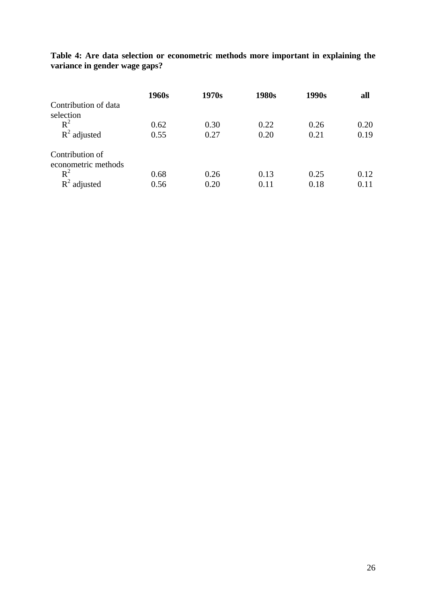**Table 4: Are data selection or econometric methods more important in explaining the variance in gender wage gaps?**

|                      | 1960s | 1970s | 1980s | 1990s | all  |
|----------------------|-------|-------|-------|-------|------|
| Contribution of data |       |       |       |       |      |
| selection            |       |       |       |       |      |
| $R^2$                | 0.62  | 0.30  | 0.22  | 0.26  | 0.20 |
| $R^2$ adjusted       | 0.55  | 0.27  | 0.20  | 0.21  | 0.19 |
| Contribution of      |       |       |       |       |      |
| econometric methods  |       |       |       |       |      |
| $R^2$                | 0.68  | 0.26  | 0.13  | 0.25  | 0.12 |
| R<br>adjusted        | 0.56  | 0.20  | 0.11  | 0.18  | 0.11 |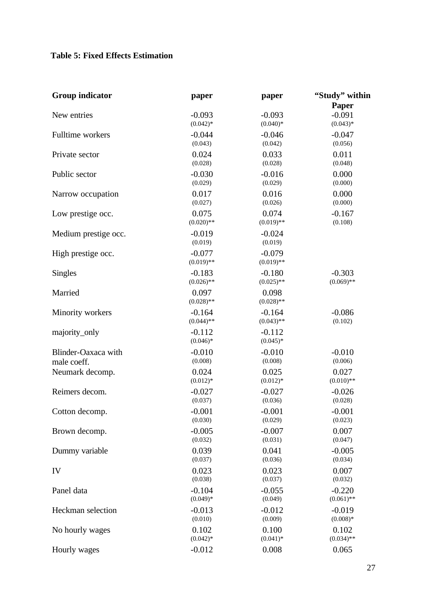## **Table 5: Fixed Effects Estimation**

| <b>Group indicator</b> | paper                    | paper                    | "Study" within                  |
|------------------------|--------------------------|--------------------------|---------------------------------|
| New entries            | $-0.093$<br>$(0.042)*$   | $-0.093$<br>$(0.040)*$   | Paper<br>$-0.091$<br>$(0.043)*$ |
| Fulltime workers       | $-0.044$                 | $-0.046$                 | $-0.047$                        |
|                        | (0.043)                  | (0.042)                  | (0.056)                         |
| Private sector         | 0.024                    | 0.033                    | 0.011                           |
|                        | (0.028)                  | (0.028)                  | (0.048)                         |
| Public sector          | $-0.030$                 | $-0.016$                 | 0.000                           |
|                        | (0.029)                  | (0.029)                  | (0.000)                         |
| Narrow occupation      | 0.017                    | 0.016                    | 0.000                           |
|                        | (0.027)                  | (0.026)                  | (0.000)                         |
| Low prestige occ.      | 0.075                    | 0.074                    | $-0.167$                        |
|                        | $(0.020)$ **             | $(0.019)$ **             | (0.108)                         |
| Medium prestige occ.   | $-0.019$<br>(0.019)      | $-0.024$<br>(0.019)      |                                 |
| High prestige occ.     | $-0.077$<br>$(0.019)$ ** | $-0.079$<br>$(0.019)$ ** |                                 |
| <b>Singles</b>         | $-0.183$                 | $-0.180$                 | $-0.303$                        |
|                        | $(0.026)$ **             | $(0.025)$ **             | $(0.069)$ **                    |
| Married                | 0.097<br>$(0.028)$ **    | 0.098<br>$(0.028)$ **    |                                 |
| Minority workers       | $-0.164$                 | $-0.164$                 | $-0.086$                        |
|                        | $(0.044)$ **             | $(0.043)$ **             | (0.102)                         |
| majority_only          | $-0.112$<br>$(0.046)*$   | $-0.112$<br>$(0.045)*$   |                                 |
| Blinder-Oaxaca with    | $-0.010$                 | $-0.010$                 | $-0.010$                        |
| male coeff.            | (0.008)                  | (0.008)                  | (0.006)                         |
| Neumark decomp.        | 0.024                    | 0.025                    | 0.027                           |
|                        | $(0.012)*$               | $(0.012)*$               | $(0.010)$ **                    |
| Reimers decom.         | $-0.027$                 | $-0.027$                 | $-0.026$                        |
|                        | (0.037)                  | (0.036)                  | (0.028)                         |
| Cotton decomp.         | $-0.001$                 | $-0.001$                 | $-0.001$                        |
|                        | (0.030)                  | (0.029)                  | (0.023)                         |
| Brown decomp.          | $-0.005$                 | $-0.007$                 | 0.007                           |
|                        | (0.032)                  | (0.031)                  | (0.047)                         |
| Dummy variable         | 0.039                    | 0.041                    | $-0.005$                        |
|                        | (0.037)                  | (0.036)                  | (0.034)                         |
| IV                     | 0.023                    | 0.023                    | 0.007                           |
|                        | (0.038)                  | (0.037)                  | (0.032)                         |
| Panel data             | $-0.104$                 | $-0.055$                 | $-0.220$                        |
|                        | $(0.049)*$               | (0.049)                  | $(0.061)$ **                    |
| Heckman selection      | $-0.013$                 | $-0.012$                 | $-0.019$                        |
|                        | (0.010)                  | (0.009)                  | $(0.008)*$                      |
| No hourly wages        | 0.102                    | 0.100                    | 0.102                           |
|                        | $(0.042)*$               | $(0.041)^*$              | $(0.034)$ **                    |
| Hourly wages           | $-0.012$                 | 0.008                    | 0.065                           |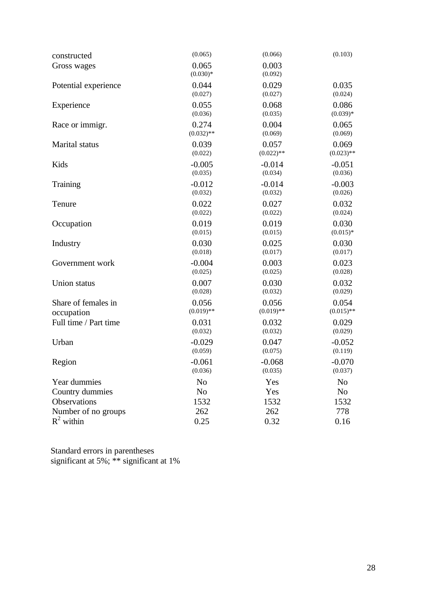| constructed           | (0.065)             | (0.066)          | (0.103)        |
|-----------------------|---------------------|------------------|----------------|
| Gross wages           | 0.065<br>$(0.030)*$ | 0.003<br>(0.092) |                |
| Potential experience  | 0.044               | 0.029            | 0.035          |
|                       | (0.027)             | (0.027)          | (0.024)        |
| Experience            | 0.055               | 0.068            | 0.086          |
|                       | (0.036)             | (0.035)          | $(0.039)*$     |
| Race or immigr.       | 0.274               | 0.004            | 0.065          |
|                       | $(0.032)$ **        | (0.069)          | (0.069)        |
| Marital status        | 0.039               | 0.057            | 0.069          |
|                       | (0.022)             | $(0.022)$ **     | $(0.023)$ **   |
| Kids                  | $-0.005$            | $-0.014$         | $-0.051$       |
|                       | (0.035)             | (0.034)          | (0.036)        |
| Training              | $-0.012$            | $-0.014$         | $-0.003$       |
|                       | (0.032)             | (0.032)          | (0.026)        |
| Tenure                | 0.022               | 0.027            | 0.032          |
|                       | (0.022)             | (0.022)          | (0.024)        |
| Occupation            | 0.019               | 0.019            | 0.030          |
|                       | (0.015)             | (0.015)          | $(0.015)*$     |
| Industry              | 0.030               | 0.025            | 0.030          |
|                       | (0.018)             | (0.017)          | (0.017)        |
| Government work       | $-0.004$            | 0.003            | 0.023          |
|                       | (0.025)             | (0.025)          | (0.028)        |
| Union status          | 0.007               | 0.030            | 0.032          |
|                       | (0.028)             | (0.032)          | (0.029)        |
| Share of females in   | 0.056               | 0.056            | 0.054          |
| occupation            | $(0.019)$ **        | $(0.019)$ **     | $(0.015)$ **   |
| Full time / Part time | 0.031               | 0.032            | 0.029          |
|                       | (0.032)             | (0.032)          | (0.029)        |
| Urban                 | $-0.029$            | 0.047            | $-0.052$       |
|                       | (0.059)             | (0.075)          | (0.119)        |
| Region                | $-0.061$            | $-0.068$         | $-0.070$       |
|                       | (0.036)             | (0.035)          | (0.037)        |
| Year dummies          | N <sub>o</sub>      | Yes              | N <sub>o</sub> |
| Country dummies       | N <sub>0</sub>      | Yes              | N <sub>o</sub> |
| Observations          | 1532                | 1532             | 1532           |
| Number of no groups   | 262                 | 262              | 778            |
| $R^2$ within          | 0.25                | 0.32             | 0.16           |

Standard errors in parentheses significant at 5%; \*\* significant at 1%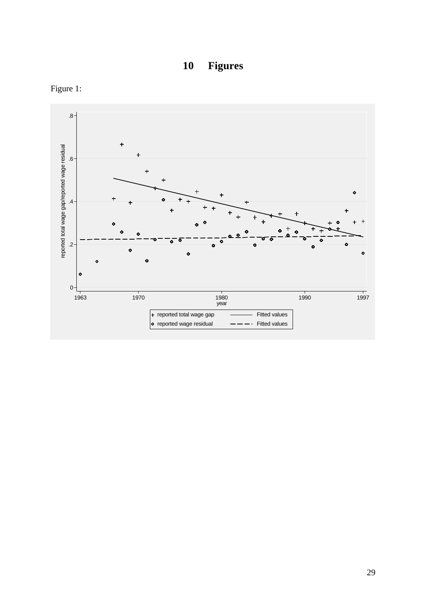



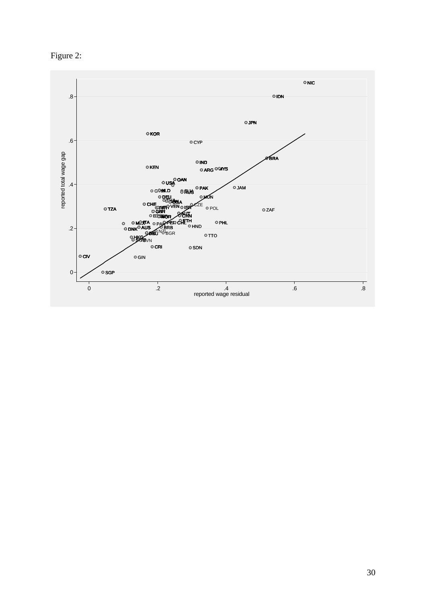

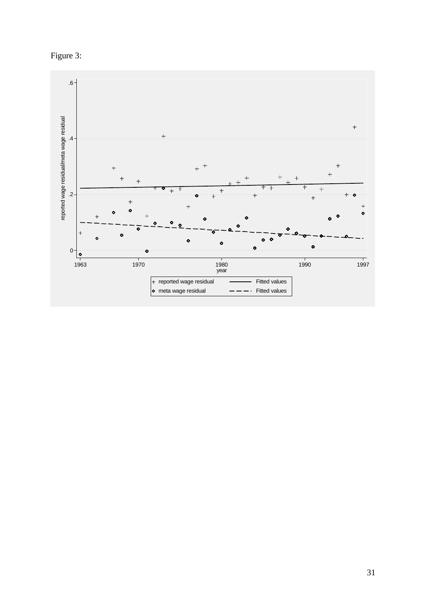